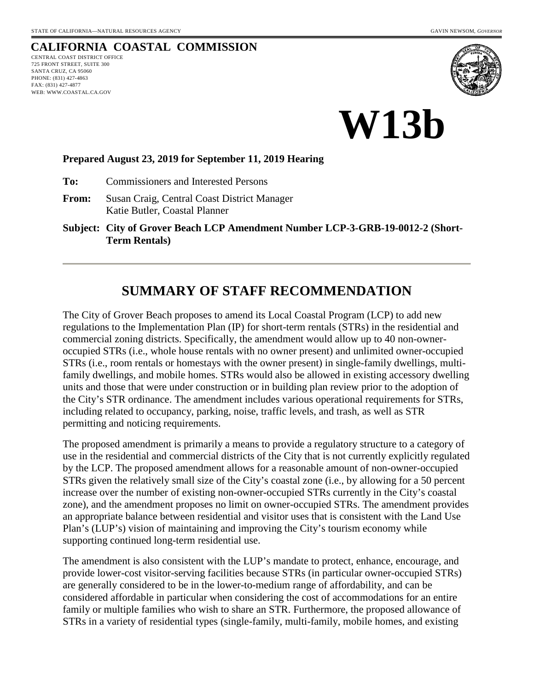# **CALIFORNIA COASTAL COMMISSION**

CENTRAL COAST DISTRICT OFFICE 725 FRONT STREET, SUITE 300 SANTA CRUZ, CA 95060 PHONE: (831) 427-4863 FAX: (831) 427-4877 WEB: WWW.COASTAL.CA.GOV



**W13b** 

#### **Prepared August 23, 2019 for September 11, 2019 Hearing**

**To:** Commissioners and Interested Persons

**From:** Susan Craig, Central Coast District Manager Katie Butler, Coastal Planner

**Subject: City of Grover Beach LCP Amendment Number LCP-3-GRB-19-0012-2 (Short-Term Rentals)**

# **SUMMARY OF STAFF RECOMMENDATION**

The City of Grover Beach proposes to amend its Local Coastal Program (LCP) to add new regulations to the Implementation Plan (IP) for short-term rentals (STRs) in the residential and commercial zoning districts. Specifically, the amendment would allow up to 40 non-owneroccupied STRs (i.e., whole house rentals with no owner present) and unlimited owner-occupied STRs (i.e., room rentals or homestays with the owner present) in single-family dwellings, multifamily dwellings, and mobile homes. STRs would also be allowed in existing accessory dwelling units and those that were under construction or in building plan review prior to the adoption of the City's STR ordinance. The amendment includes various operational requirements for STRs, including related to occupancy, parking, noise, traffic levels, and trash, as well as STR permitting and noticing requirements.

The proposed amendment is primarily a means to provide a regulatory structure to a category of use in the residential and commercial districts of the City that is not currently explicitly regulated by the LCP. The proposed amendment allows for a reasonable amount of non-owner-occupied STRs given the relatively small size of the City's coastal zone (i.e., by allowing for a 50 percent increase over the number of existing non-owner-occupied STRs currently in the City's coastal zone), and the amendment proposes no limit on owner-occupied STRs. The amendment provides an appropriate balance between residential and visitor uses that is consistent with the Land Use Plan's (LUP's) vision of maintaining and improving the City's tourism economy while supporting continued long-term residential use.

The amendment is also consistent with the LUP's mandate to protect, enhance, encourage, and provide lower-cost visitor-serving facilities because STRs (in particular owner-occupied STRs) are generally considered to be in the lower-to-medium range of affordability, and can be considered affordable in particular when considering the cost of accommodations for an entire family or multiple families who wish to share an STR. Furthermore, the proposed allowance of STRs in a variety of residential types (single-family, multi-family, mobile homes, and existing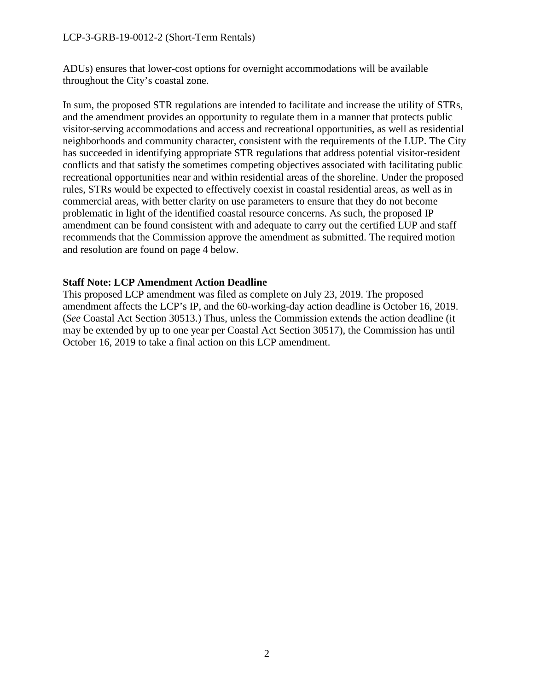#### LCP-3-GRB-19-0012-2 (Short-Term Rentals)

ADUs) ensures that lower-cost options for overnight accommodations will be available throughout the City's coastal zone.

In sum, the proposed STR regulations are intended to facilitate and increase the utility of STRs, and the amendment provides an opportunity to regulate them in a manner that protects public visitor-serving accommodations and access and recreational opportunities, as well as residential neighborhoods and community character, consistent with the requirements of the LUP. The City has succeeded in identifying appropriate STR regulations that address potential visitor-resident conflicts and that satisfy the sometimes competing objectives associated with facilitating public recreational opportunities near and within residential areas of the shoreline. Under the proposed rules, STRs would be expected to effectively coexist in coastal residential areas, as well as in commercial areas, with better clarity on use parameters to ensure that they do not become problematic in light of the identified coastal resource concerns. As such, the proposed IP amendment can be found consistent with and adequate to carry out the certified LUP and staff recommends that the Commission approve the amendment as submitted. The required motion and resolution are found on page 4 below.

#### **Staff Note: LCP Amendment Action Deadline**

This proposed LCP amendment was filed as complete on July 23, 2019. The proposed amendment affects the LCP's IP, and the 60-working-day action deadline is October 16, 2019. (*See* Coastal Act Section 30513.) Thus, unless the Commission extends the action deadline (it may be extended by up to one year per Coastal Act Section 30517), the Commission has until October 16, 2019 to take a final action on this LCP amendment.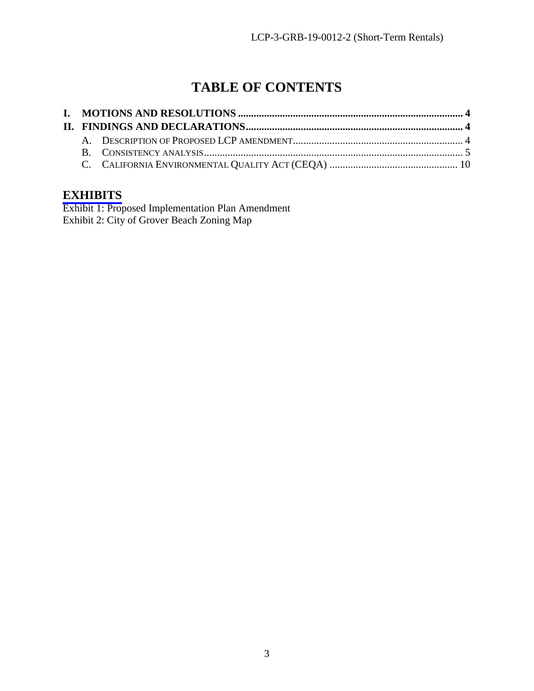# **TABLE OF CONTENTS**

## **[EXHIBITS](https://documents.coastal.ca.gov/reports/2019/9/W13b/W13b-9-2019-exhibits.pdf)**

Exhibit 1: Proposed Implementation Plan Amendment Exhibit 2: City of Grover Beach Zoning Map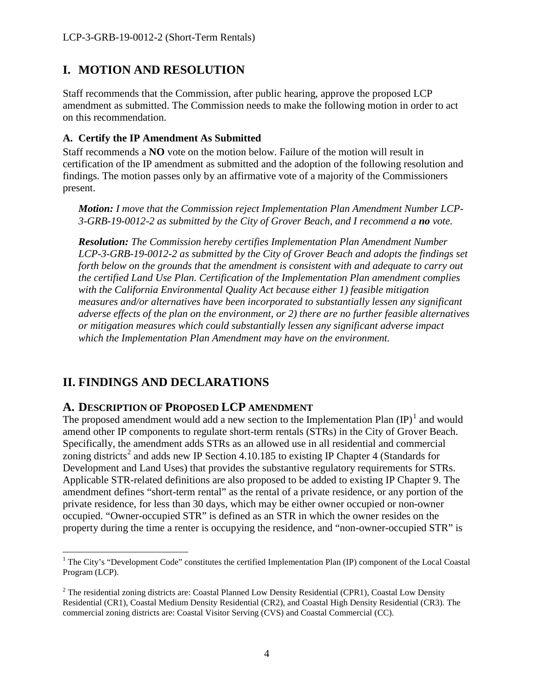# <span id="page-3-0"></span>**I. MOTION AND RESOLUTION**

Staff recommends that the Commission, after public hearing, approve the proposed LCP amendment as submitted. The Commission needs to make the following motion in order to act on this recommendation.

#### **A. Certify the IP Amendment As Submitted**

Staff recommends a **NO** vote on the motion below. Failure of the motion will result in certification of the IP amendment as submitted and the adoption of the following resolution and findings. The motion passes only by an affirmative vote of a majority of the Commissioners present.

*Motion: I move that the Commission reject Implementation Plan Amendment Number LCP-3-GRB-19-0012-2 as submitted by the City of Grover Beach, and I recommend a no vote.*

*Resolution: The Commission hereby certifies Implementation Plan Amendment Number LCP-3-GRB-19-0012-2 as submitted by the City of Grover Beach and adopts the findings set forth below on the grounds that the amendment is consistent with and adequate to carry out the certified Land Use Plan. Certification of the Implementation Plan amendment complies with the California Environmental Quality Act because either 1) feasible mitigation measures and/or alternatives have been incorporated to substantially lessen any significant adverse effects of the plan on the environment, or 2) there are no further feasible alternatives or mitigation measures which could substantially lessen any significant adverse impact which the Implementation Plan Amendment may have on the environment.* 

# <span id="page-3-1"></span>**II. FINDINGS AND DECLARATIONS**

## <span id="page-3-2"></span>**A. DESCRIPTION OF PROPOSED LCP AMENDMENT**

The proposed amendment would add a new section to the Implementation Plan  ${\rm (IP)}^1$  ${\rm (IP)}^1$  and would amend other IP components to regulate short-term rentals (STRs) in the City of Grover Beach. Specifically, the amendment adds STRs as an allowed use in all residential and commercial zoning districts<sup>[2](#page-3-4)</sup> and adds new IP Section 4.10.185 to existing IP Chapter 4 (Standards for Development and Land Uses) that provides the substantive regulatory requirements for STRs. Applicable STR-related definitions are also proposed to be added to existing IP Chapter 9. The amendment defines "short-term rental" as the rental of a private residence, or any portion of the private residence, for less than 30 days, which may be either owner occupied or non-owner occupied. "Owner-occupied STR" is defined as an STR in which the owner resides on the property during the time a renter is occupying the residence, and "non-owner-occupied STR" is

<span id="page-3-3"></span> $\overline{a}$ <sup>1</sup> The City's "Development Code" constitutes the certified Implementation Plan (IP) component of the Local Coastal Program (LCP).

<span id="page-3-4"></span><sup>&</sup>lt;sup>2</sup> The residential zoning districts are: Coastal Planned Low Density Residential (CPR1), Coastal Low Density Residential (CR1), Coastal Medium Density Residential (CR2), and Coastal High Density Residential (CR3). The commercial zoning districts are: Coastal Visitor Serving (CVS) and Coastal Commercial (CC).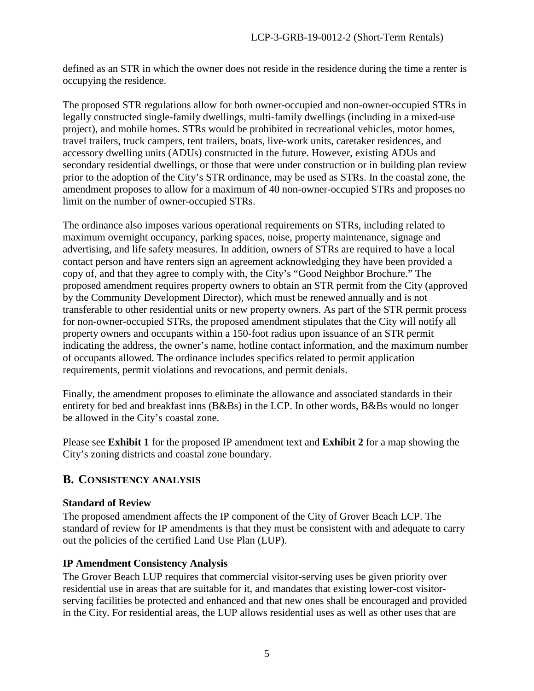defined as an STR in which the owner does not reside in the residence during the time a renter is occupying the residence.

The proposed STR regulations allow for both owner-occupied and non-owner-occupied STRs in legally constructed single-family dwellings, multi-family dwellings (including in a mixed-use project), and mobile homes. STRs would be prohibited in recreational vehicles, motor homes, travel trailers, truck campers, tent trailers, boats, live-work units, caretaker residences, and accessory dwelling units (ADUs) constructed in the future. However, existing ADUs and secondary residential dwellings, or those that were under construction or in building plan review prior to the adoption of the City's STR ordinance, may be used as STRs. In the coastal zone, the amendment proposes to allow for a maximum of 40 non-owner-occupied STRs and proposes no limit on the number of owner-occupied STRs.

The ordinance also imposes various operational requirements on STRs, including related to maximum overnight occupancy, parking spaces, noise, property maintenance, signage and advertising, and life safety measures. In addition, owners of STRs are required to have a local contact person and have renters sign an agreement acknowledging they have been provided a copy of, and that they agree to comply with, the City's "Good Neighbor Brochure." The proposed amendment requires property owners to obtain an STR permit from the City (approved by the Community Development Director), which must be renewed annually and is not transferable to other residential units or new property owners. As part of the STR permit process for non-owner-occupied STRs, the proposed amendment stipulates that the City will notify all property owners and occupants within a 150-foot radius upon issuance of an STR permit indicating the address, the owner's name, hotline contact information, and the maximum number of occupants allowed. The ordinance includes specifics related to permit application requirements, permit violations and revocations, and permit denials.

Finally, the amendment proposes to eliminate the allowance and associated standards in their entirety for bed and breakfast inns (B&Bs) in the LCP. In other words, B&Bs would no longer be allowed in the City's coastal zone.

Please see **Exhibit 1** for the proposed IP amendment text and **Exhibit 2** for a map showing the City's zoning districts and coastal zone boundary.

## <span id="page-4-0"></span>**B. CONSISTENCY ANALYSIS**

## **Standard of Review**

The proposed amendment affects the IP component of the City of Grover Beach LCP. The standard of review for IP amendments is that they must be consistent with and adequate to carry out the policies of the certified Land Use Plan (LUP).

## **IP Amendment Consistency Analysis**

The Grover Beach LUP requires that commercial visitor-serving uses be given priority over residential use in areas that are suitable for it, and mandates that existing lower-cost visitorserving facilities be protected and enhanced and that new ones shall be encouraged and provided in the City. For residential areas, the LUP allows residential uses as well as other uses that are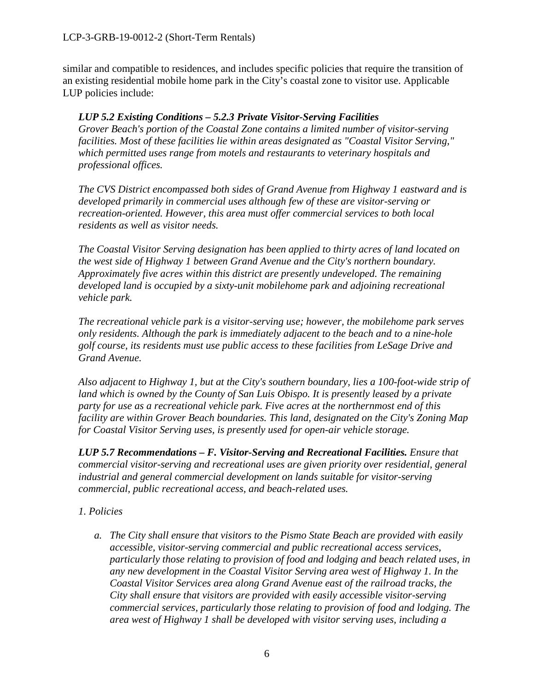similar and compatible to residences, and includes specific policies that require the transition of an existing residential mobile home park in the City's coastal zone to visitor use. Applicable LUP policies include:

## *LUP 5.2 Existing Conditions – 5.2.3 Private Visitor-Serving Facilities*

*Grover Beach's portion of the Coastal Zone contains a limited number of visitor-serving facilities. Most of these facilities lie within areas designated as "Coastal Visitor Serving," which permitted uses range from motels and restaurants to veterinary hospitals and professional offices.* 

*The CVS District encompassed both sides of Grand Avenue from Highway 1 eastward and is developed primarily in commercial uses although few of these are visitor-serving or recreation-oriented. However, this area must offer commercial services to both local residents as well as visitor needs.* 

*The Coastal Visitor Serving designation has been applied to thirty acres of land located on the west side of Highway 1 between Grand Avenue and the City's northern boundary. Approximately five acres within this district are presently undeveloped. The remaining developed land is occupied by a sixty-unit mobilehome park and adjoining recreational vehicle park.* 

*The recreational vehicle park is a visitor-serving use; however, the mobilehome park serves only residents. Although the park is immediately adjacent to the beach and to a nine-hole golf course, its residents must use public access to these facilities from LeSage Drive and Grand Avenue.* 

*Also adjacent to Highway 1, but at the City's southern boundary, lies a 100-foot-wide strip of*  land which is owned by the County of San Luis Obispo. It is presently leased by a private *party for use as a recreational vehicle park. Five acres at the northernmost end of this facility are within Grover Beach boundaries. This land, designated on the City's Zoning Map for Coastal Visitor Serving uses, is presently used for open-air vehicle storage.*

*LUP 5.7 Recommendations – F. Visitor-Serving and Recreational Facilities. Ensure that commercial visitor-serving and recreational uses are given priority over residential, general industrial and general commercial development on lands suitable for visitor-serving commercial, public recreational access, and beach-related uses.* 

## *1. Policies*

*a. The City shall ensure that visitors to the Pismo State Beach are provided with easily accessible, visitor-serving commercial and public recreational access services, particularly those relating to provision of food and lodging and beach related uses, in any new development in the Coastal Visitor Serving area west of Highway 1. In the Coastal Visitor Services area along Grand Avenue east of the railroad tracks, the City shall ensure that visitors are provided with easily accessible visitor-serving commercial services, particularly those relating to provision of food and lodging. The area west of Highway 1 shall be developed with visitor serving uses, including a*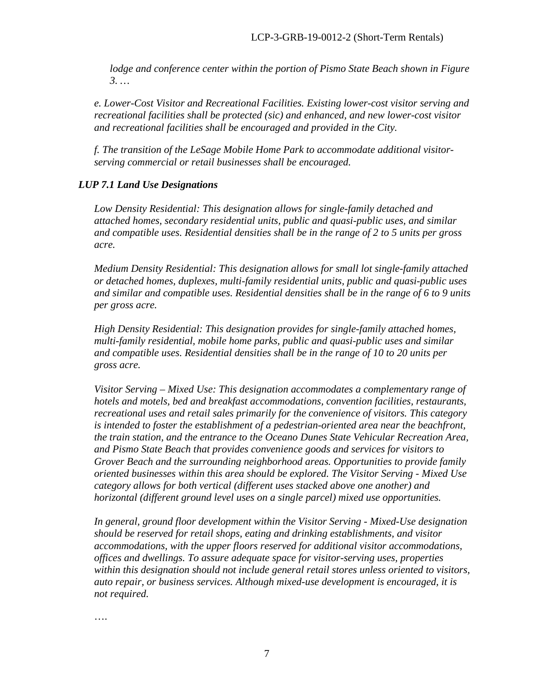*lodge and conference center within the portion of Pismo State Beach shown in Figure 3. …* 

*e. Lower-Cost Visitor and Recreational Facilities. Existing lower-cost visitor serving and recreational facilities shall be protected (sic) and enhanced, and new lower-cost visitor and recreational facilities shall be encouraged and provided in the City.* 

*f. The transition of the LeSage Mobile Home Park to accommodate additional visitorserving commercial or retail businesses shall be encouraged.* 

## *LUP 7.1 Land Use Designations*

*Low Density Residential: This designation allows for single-family detached and attached homes, secondary residential units, public and quasi-public uses, and similar and compatible uses. Residential densities shall be in the range of 2 to 5 units per gross acre.* 

*Medium Density Residential: This designation allows for small lot single-family attached or detached homes, duplexes, multi-family residential units, public and quasi-public uses and similar and compatible uses. Residential densities shall be in the range of 6 to 9 units per gross acre.* 

*High Density Residential: This designation provides for single-family attached homes, multi-family residential, mobile home parks, public and quasi-public uses and similar and compatible uses. Residential densities shall be in the range of 10 to 20 units per gross acre.*

*Visitor Serving – Mixed Use: This designation accommodates a complementary range of hotels and motels, bed and breakfast accommodations, convention facilities, restaurants, recreational uses and retail sales primarily for the convenience of visitors. This category is intended to foster the establishment of a pedestrian-oriented area near the beachfront, the train station, and the entrance to the Oceano Dunes State Vehicular Recreation Area, and Pismo State Beach that provides convenience goods and services for visitors to Grover Beach and the surrounding neighborhood areas. Opportunities to provide family oriented businesses within this area should be explored. The Visitor Serving - Mixed Use category allows for both vertical (different uses stacked above one another) and horizontal (different ground level uses on a single parcel) mixed use opportunities.* 

*In general, ground floor development within the Visitor Serving - Mixed-Use designation should be reserved for retail shops, eating and drinking establishments, and visitor accommodations, with the upper floors reserved for additional visitor accommodations, offices and dwellings. To assure adequate space for visitor-serving uses, properties within this designation should not include general retail stores unless oriented to visitors, auto repair, or business services. Although mixed-use development is encouraged, it is not required.* 

….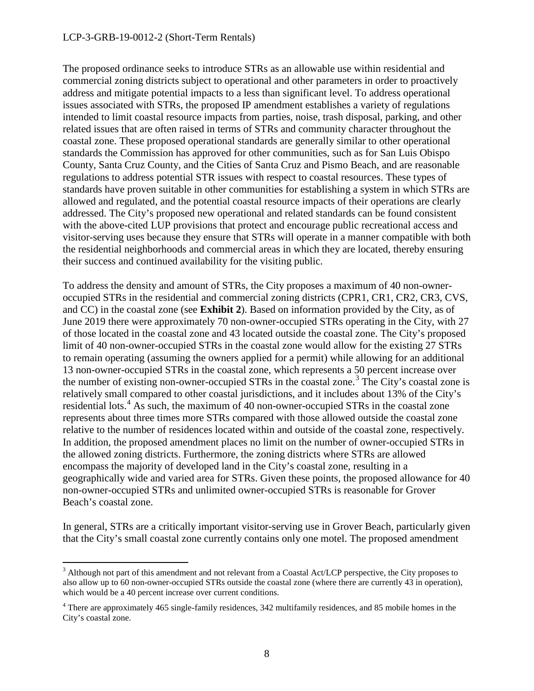#### LCP-3-GRB-19-0012-2 (Short-Term Rentals)

 $\overline{a}$ 

The proposed ordinance seeks to introduce STRs as an allowable use within residential and commercial zoning districts subject to operational and other parameters in order to proactively address and mitigate potential impacts to a less than significant level. To address operational issues associated with STRs, the proposed IP amendment establishes a variety of regulations intended to limit coastal resource impacts from parties, noise, trash disposal, parking, and other related issues that are often raised in terms of STRs and community character throughout the coastal zone. These proposed operational standards are generally similar to other operational standards the Commission has approved for other communities, such as for San Luis Obispo County, Santa Cruz County, and the Cities of Santa Cruz and Pismo Beach, and are reasonable regulations to address potential STR issues with respect to coastal resources. These types of standards have proven suitable in other communities for establishing a system in which STRs are allowed and regulated, and the potential coastal resource impacts of their operations are clearly addressed. The City's proposed new operational and related standards can be found consistent with the above-cited LUP provisions that protect and encourage public recreational access and visitor-serving uses because they ensure that STRs will operate in a manner compatible with both the residential neighborhoods and commercial areas in which they are located, thereby ensuring their success and continued availability for the visiting public.

To address the density and amount of STRs, the City proposes a maximum of 40 non-owneroccupied STRs in the residential and commercial zoning districts (CPR1, CR1, CR2, CR3, CVS, and CC) in the coastal zone (see **Exhibit 2**). Based on information provided by the City, as of June 2019 there were approximately 70 non-owner-occupied STRs operating in the City, with 27 of those located in the coastal zone and 43 located outside the coastal zone. The City's proposed limit of 40 non-owner-occupied STRs in the coastal zone would allow for the existing 27 STRs to remain operating (assuming the owners applied for a permit) while allowing for an additional 13 non-owner-occupied STRs in the coastal zone, which represents a 50 percent increase over the number of existing non-owner-occupied STRs in the coastal zone.<sup>[3](#page-7-0)</sup> The City's coastal zone is relatively small compared to other coastal jurisdictions, and it includes about 13% of the City's residential lots.<sup>[4](#page-7-1)</sup> As such, the maximum of 40 non-owner-occupied STRs in the coastal zone represents about three times more STRs compared with those allowed outside the coastal zone relative to the number of residences located within and outside of the coastal zone, respectively. In addition, the proposed amendment places no limit on the number of owner-occupied STRs in the allowed zoning districts. Furthermore, the zoning districts where STRs are allowed encompass the majority of developed land in the City's coastal zone, resulting in a geographically wide and varied area for STRs. Given these points, the proposed allowance for 40 non-owner-occupied STRs and unlimited owner-occupied STRs is reasonable for Grover Beach's coastal zone.

In general, STRs are a critically important visitor-serving use in Grover Beach, particularly given that the City's small coastal zone currently contains only one motel. The proposed amendment

<span id="page-7-0"></span> $3$  Although not part of this amendment and not relevant from a Coastal Act/LCP perspective, the City proposes to also allow up to 60 non-owner-occupied STRs outside the coastal zone (where there are currently 43 in operation), which would be a 40 percent increase over current conditions.

<span id="page-7-1"></span><sup>&</sup>lt;sup>4</sup> There are approximately 465 single-family residences, 342 multifamily residences, and 85 mobile homes in the City's coastal zone.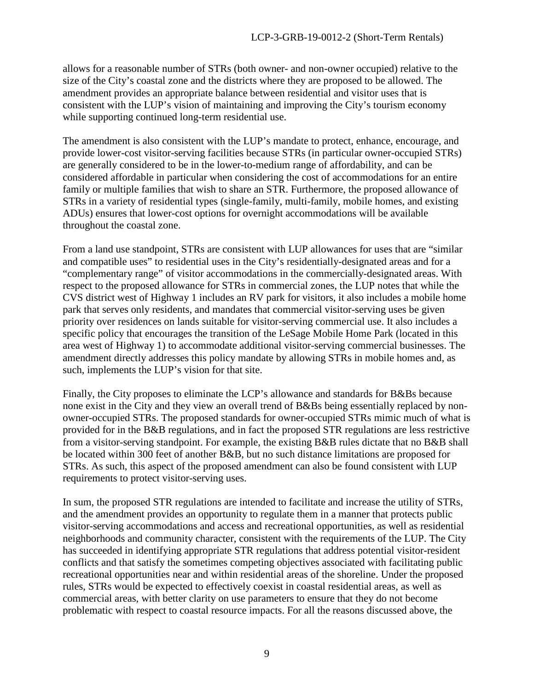allows for a reasonable number of STRs (both owner- and non-owner occupied) relative to the size of the City's coastal zone and the districts where they are proposed to be allowed. The amendment provides an appropriate balance between residential and visitor uses that is consistent with the LUP's vision of maintaining and improving the City's tourism economy while supporting continued long-term residential use.

The amendment is also consistent with the LUP's mandate to protect, enhance, encourage, and provide lower-cost visitor-serving facilities because STRs (in particular owner-occupied STRs) are generally considered to be in the lower-to-medium range of affordability, and can be considered affordable in particular when considering the cost of accommodations for an entire family or multiple families that wish to share an STR. Furthermore, the proposed allowance of STRs in a variety of residential types (single-family, multi-family, mobile homes, and existing ADUs) ensures that lower-cost options for overnight accommodations will be available throughout the coastal zone.

From a land use standpoint, STRs are consistent with LUP allowances for uses that are "similar and compatible uses" to residential uses in the City's residentially-designated areas and for a "complementary range" of visitor accommodations in the commercially-designated areas. With respect to the proposed allowance for STRs in commercial zones, the LUP notes that while the CVS district west of Highway 1 includes an RV park for visitors, it also includes a mobile home park that serves only residents, and mandates that commercial visitor-serving uses be given priority over residences on lands suitable for visitor-serving commercial use. It also includes a specific policy that encourages the transition of the LeSage Mobile Home Park (located in this area west of Highway 1) to accommodate additional visitor-serving commercial businesses. The amendment directly addresses this policy mandate by allowing STRs in mobile homes and, as such, implements the LUP's vision for that site.

Finally, the City proposes to eliminate the LCP's allowance and standards for B&Bs because none exist in the City and they view an overall trend of B&Bs being essentially replaced by nonowner-occupied STRs. The proposed standards for owner-occupied STRs mimic much of what is provided for in the B&B regulations, and in fact the proposed STR regulations are less restrictive from a visitor-serving standpoint. For example, the existing B&B rules dictate that no B&B shall be located within 300 feet of another B&B, but no such distance limitations are proposed for STRs. As such, this aspect of the proposed amendment can also be found consistent with LUP requirements to protect visitor-serving uses.

In sum, the proposed STR regulations are intended to facilitate and increase the utility of STRs, and the amendment provides an opportunity to regulate them in a manner that protects public visitor-serving accommodations and access and recreational opportunities, as well as residential neighborhoods and community character, consistent with the requirements of the LUP. The City has succeeded in identifying appropriate STR regulations that address potential visitor-resident conflicts and that satisfy the sometimes competing objectives associated with facilitating public recreational opportunities near and within residential areas of the shoreline. Under the proposed rules, STRs would be expected to effectively coexist in coastal residential areas, as well as commercial areas, with better clarity on use parameters to ensure that they do not become problematic with respect to coastal resource impacts. For all the reasons discussed above, the